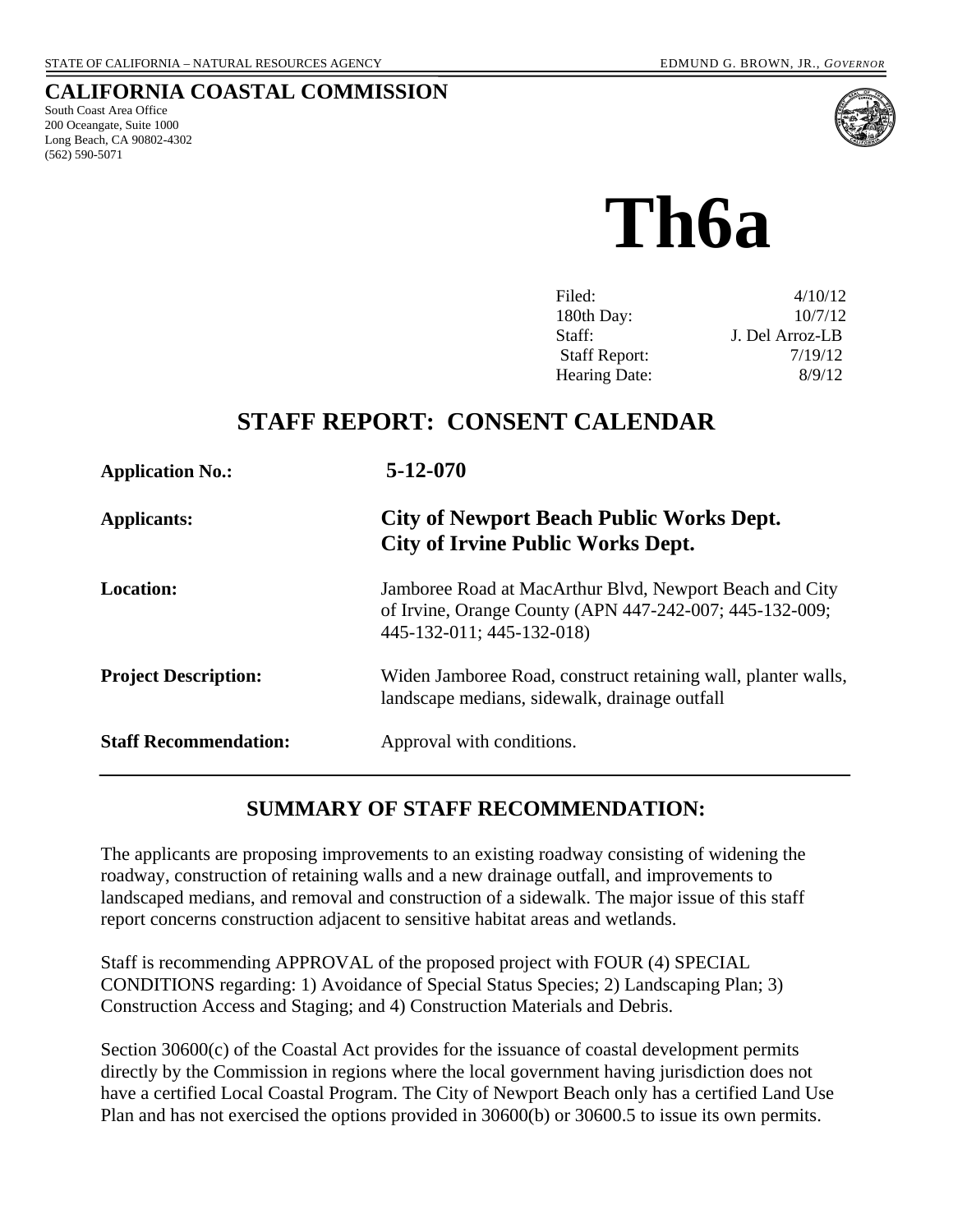#### **CALIFORNIA COASTAL COMMISSION**

South Coast Area Office 200 Oceangate, Suite 1000 Long Beach, CA 90802-4302 (562) 590-5071



**Th6a** 

| 4/10/12         |
|-----------------|
| 10/7/12         |
| J. Del Arroz-LB |
| 7/19/12         |
| 8/9/12          |
|                 |

## **STAFF REPORT: CONSENT CALENDAR**

| <b>Application No.:</b>      | $5 - 12 - 070$                                                                                                                                  |
|------------------------------|-------------------------------------------------------------------------------------------------------------------------------------------------|
| Applicants:                  | City of Newport Beach Public Works Dept.<br><b>City of Irvine Public Works Dept.</b>                                                            |
| <b>Location:</b>             | Jamboree Road at MacArthur Blvd, Newport Beach and City<br>of Irvine, Orange County (APN 447-242-007; 445-132-009;<br>445-132-011; 445-132-018) |
| <b>Project Description:</b>  | Widen Jamboree Road, construct retaining wall, planter walls,<br>landscape medians, sidewalk, drainage outfall                                  |
| <b>Staff Recommendation:</b> | Approval with conditions.                                                                                                                       |

## **SUMMARY OF STAFF RECOMMENDATION:**

The applicants are proposing improvements to an existing roadway consisting of widening the roadway, construction of retaining walls and a new drainage outfall, and improvements to landscaped medians, and removal and construction of a sidewalk. The major issue of this staff report concerns construction adjacent to sensitive habitat areas and wetlands.

Staff is recommending APPROVAL of the proposed project with FOUR (4) SPECIAL CONDITIONS regarding: 1) Avoidance of Special Status Species; 2) Landscaping Plan; 3) Construction Access and Staging; and 4) Construction Materials and Debris.

Section 30600(c) of the Coastal Act provides for the issuance of coastal development permits directly by the Commission in regions where the local government having jurisdiction does not have a certified Local Coastal Program. The City of Newport Beach only has a certified Land Use Plan and has not exercised the options provided in 30600(b) or 30600.5 to issue its own permits.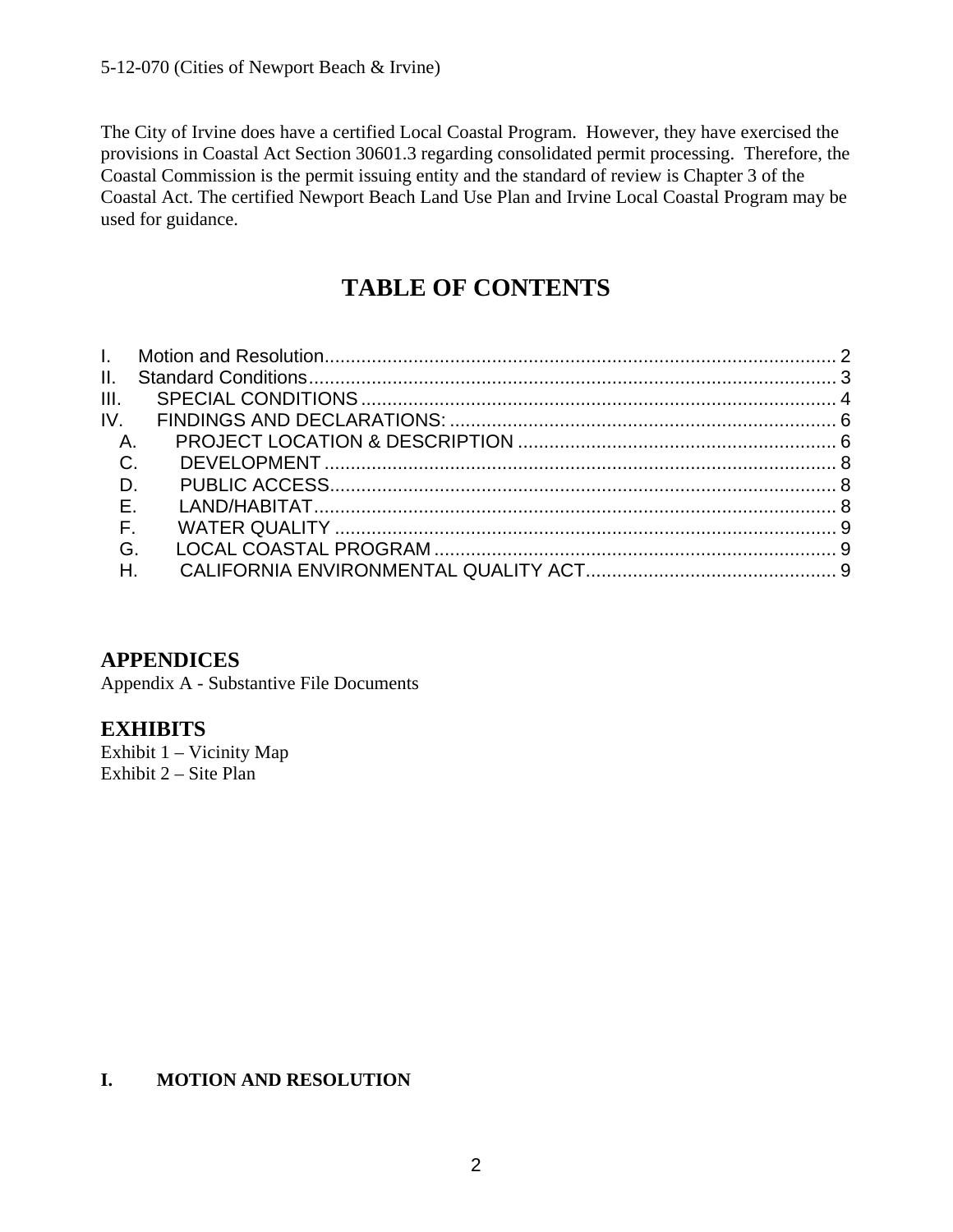The City of Irvine does have a certified Local Coastal Program. However, they have exercised the provisions in Coastal Act Section 30601.3 regarding consolidated permit processing. Therefore, the Coastal Commission is the permit issuing entity and the standard of review is Chapter 3 of the Coastal Act. The certified Newport Beach Land Use Plan and Irvine Local Coastal Program may be used for guidance.

# **TABLE OF CONTENTS**

| A <sub>1</sub><br>$D$ .<br>$E_{\rm{eff}}$<br>$-E_{\rm{c}}$<br>H <sub>1</sub> |
|------------------------------------------------------------------------------|

## **APPENDICES**

Appendix A - Substantive File Documents

#### **EXHIBITS**

Exhibit 1 – Vicinity Map Exhibit 2 – Site Plan

#### <span id="page-1-0"></span>**I. MOTION AND RESOLUTION**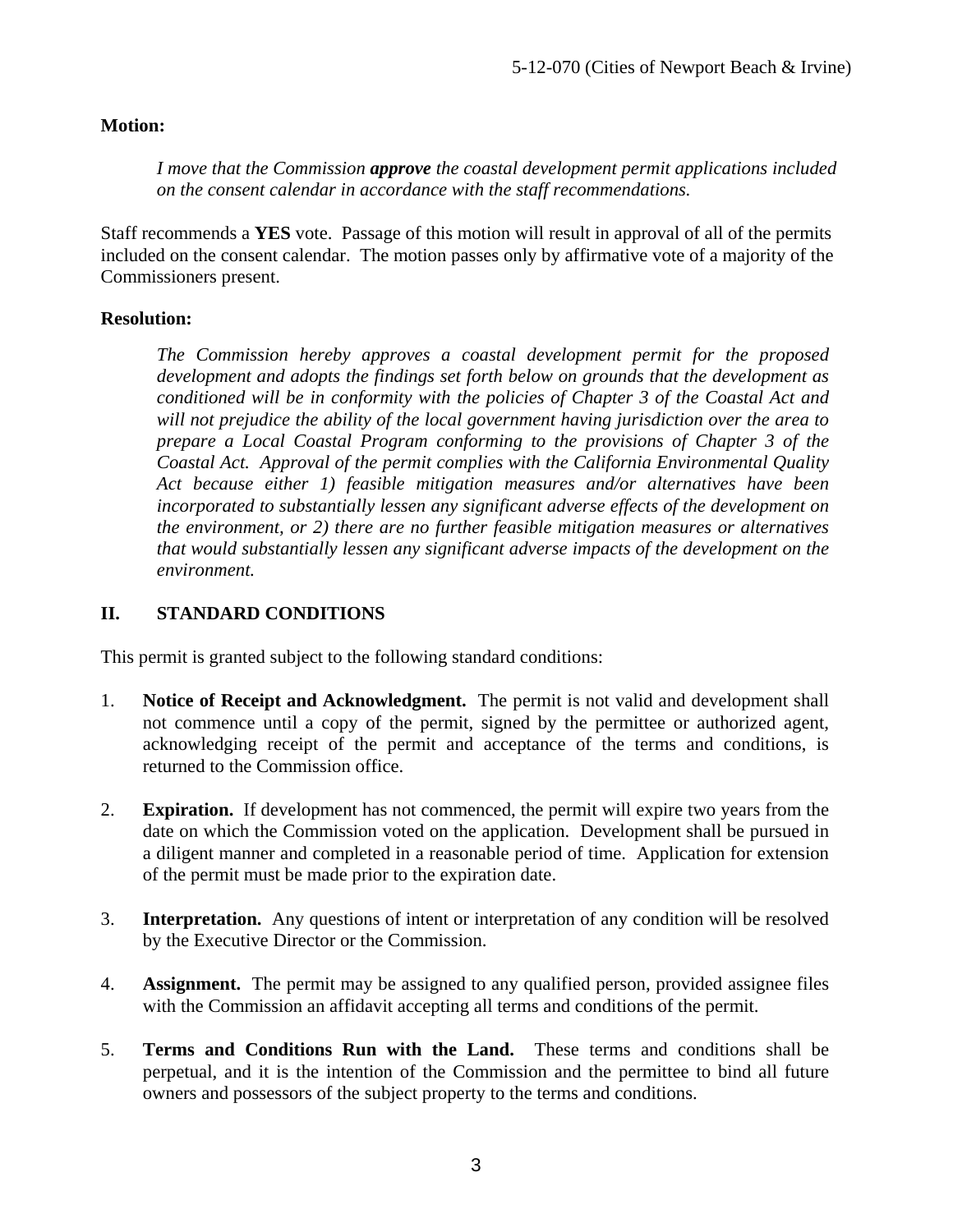#### **Motion:**

*I move that the Commission approve the coastal development permit applications included on the consent calendar in accordance with the staff recommendations.*

Staff recommends a **YES** vote. Passage of this motion will result in approval of all of the permits included on the consent calendar. The motion passes only by affirmative vote of a majority of the Commissioners present.

#### **Resolution:**

*The Commission hereby approves a coastal development permit for the proposed development and adopts the findings set forth below on grounds that the development as conditioned will be in conformity with the policies of Chapter 3 of the Coastal Act and will not prejudice the ability of the local government having jurisdiction over the area to prepare a Local Coastal Program conforming to the provisions of Chapter 3 of the Coastal Act. Approval of the permit complies with the California Environmental Quality Act because either 1) feasible mitigation measures and/or alternatives have been incorporated to substantially lessen any significant adverse effects of the development on the environment, or 2) there are no further feasible mitigation measures or alternatives that would substantially lessen any significant adverse impacts of the development on the environment.* 

#### <span id="page-2-0"></span>**II. STANDARD CONDITIONS**

This permit is granted subject to the following standard conditions:

- 1. **Notice of Receipt and Acknowledgment.** The permit is not valid and development shall not commence until a copy of the permit, signed by the permittee or authorized agent, acknowledging receipt of the permit and acceptance of the terms and conditions, is returned to the Commission office.
- 2. **Expiration.** If development has not commenced, the permit will expire two years from the date on which the Commission voted on the application. Development shall be pursued in a diligent manner and completed in a reasonable period of time. Application for extension of the permit must be made prior to the expiration date.
- 3. **Interpretation.** Any questions of intent or interpretation of any condition will be resolved by the Executive Director or the Commission.
- 4. **Assignment.** The permit may be assigned to any qualified person, provided assignee files with the Commission an affidavit accepting all terms and conditions of the permit.
- 5. **Terms and Conditions Run with the Land.** These terms and conditions shall be perpetual, and it is the intention of the Commission and the permittee to bind all future owners and possessors of the subject property to the terms and conditions.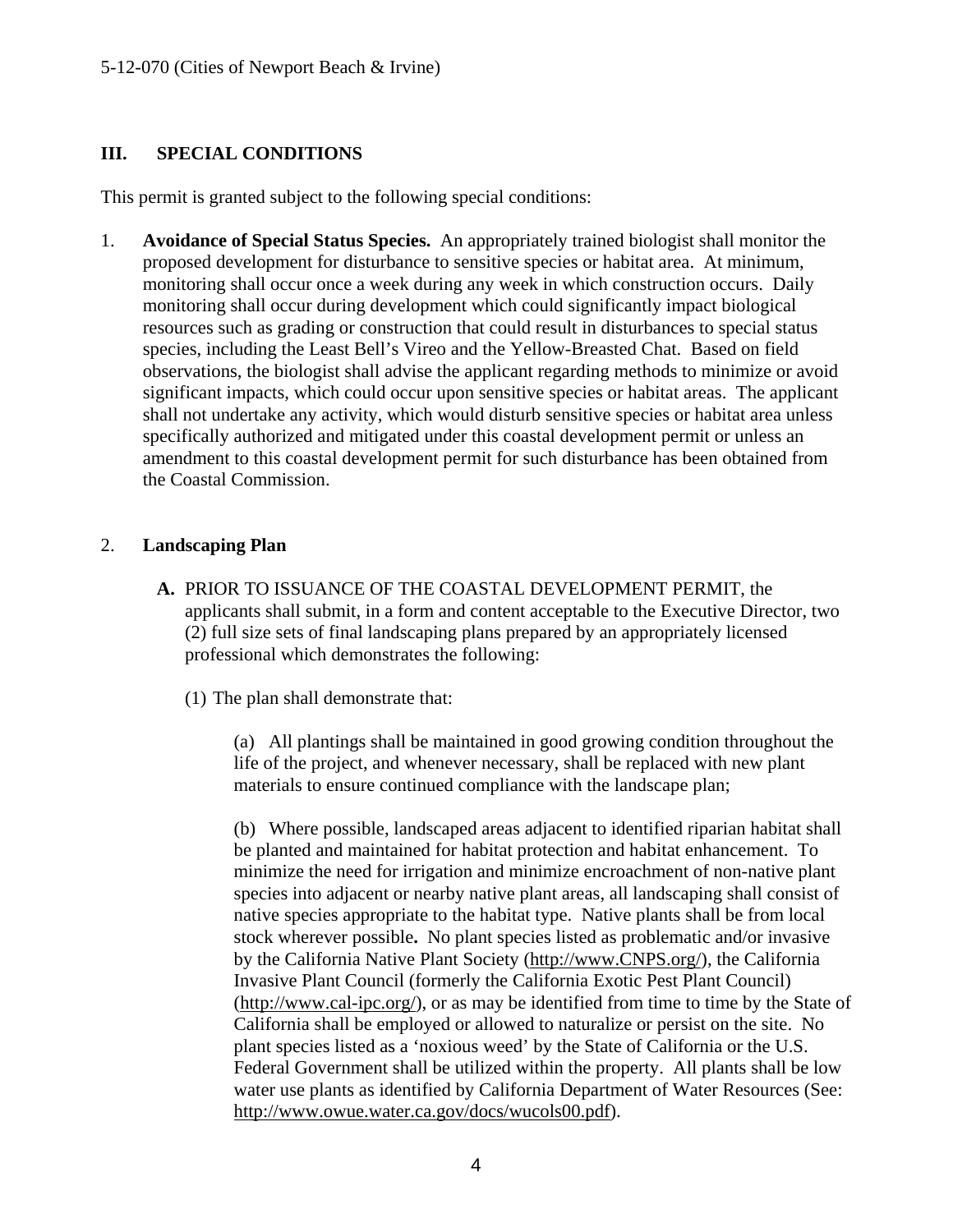#### <span id="page-3-0"></span>**III. SPECIAL CONDITIONS**

This permit is granted subject to the following special conditions:

1. **Avoidance of Special Status Species.** An appropriately trained biologist shall monitor the proposed development for disturbance to sensitive species or habitat area. At minimum, monitoring shall occur once a week during any week in which construction occurs. Daily monitoring shall occur during development which could significantly impact biological resources such as grading or construction that could result in disturbances to special status species, including the Least Bell's Vireo and the Yellow-Breasted Chat. Based on field observations, the biologist shall advise the applicant regarding methods to minimize or avoid significant impacts, which could occur upon sensitive species or habitat areas. The applicant shall not undertake any activity, which would disturb sensitive species or habitat area unless specifically authorized and mitigated under this coastal development permit or unless an amendment to this coastal development permit for such disturbance has been obtained from the Coastal Commission.

#### 2. **Landscaping Plan**

- **A.** PRIOR TO ISSUANCE OF THE COASTAL DEVELOPMENT PERMIT, the applicants shall submit, in a form and content acceptable to the Executive Director, two (2) full size sets of final landscaping plans prepared by an appropriately licensed professional which demonstrates the following:
	- (1) The plan shall demonstrate that:

(a) All plantings shall be maintained in good growing condition throughout the life of the project, and whenever necessary, shall be replaced with new plant materials to ensure continued compliance with the landscape plan;

(b) Where possible, landscaped areas adjacent to identified riparian habitat shall be planted and maintained for habitat protection and habitat enhancement. To minimize the need for irrigation and minimize encroachment of non-native plant species into adjacent or nearby native plant areas, all landscaping shall consist of native species appropriate to the habitat type. Native plants shall be from local stock wherever possible**.** No plant species listed as problematic and/or invasive by the California Native Plant Society ([http://www.CNPS.org/\)](http://www.cnps.org/), the California Invasive Plant Council (formerly the California Exotic Pest Plant Council) [\(http://www.cal-ipc.org/](http://www.cal-ipc.org/)), or as may be identified from time to time by the State of California shall be employed or allowed to naturalize or persist on the site. No plant species listed as a 'noxious weed' by the State of California or the U.S. Federal Government shall be utilized within the property. All plants shall be low water use plants as identified by California Department of Water Resources (See: <http://www.owue.water.ca.gov/docs/wucols00.pdf>).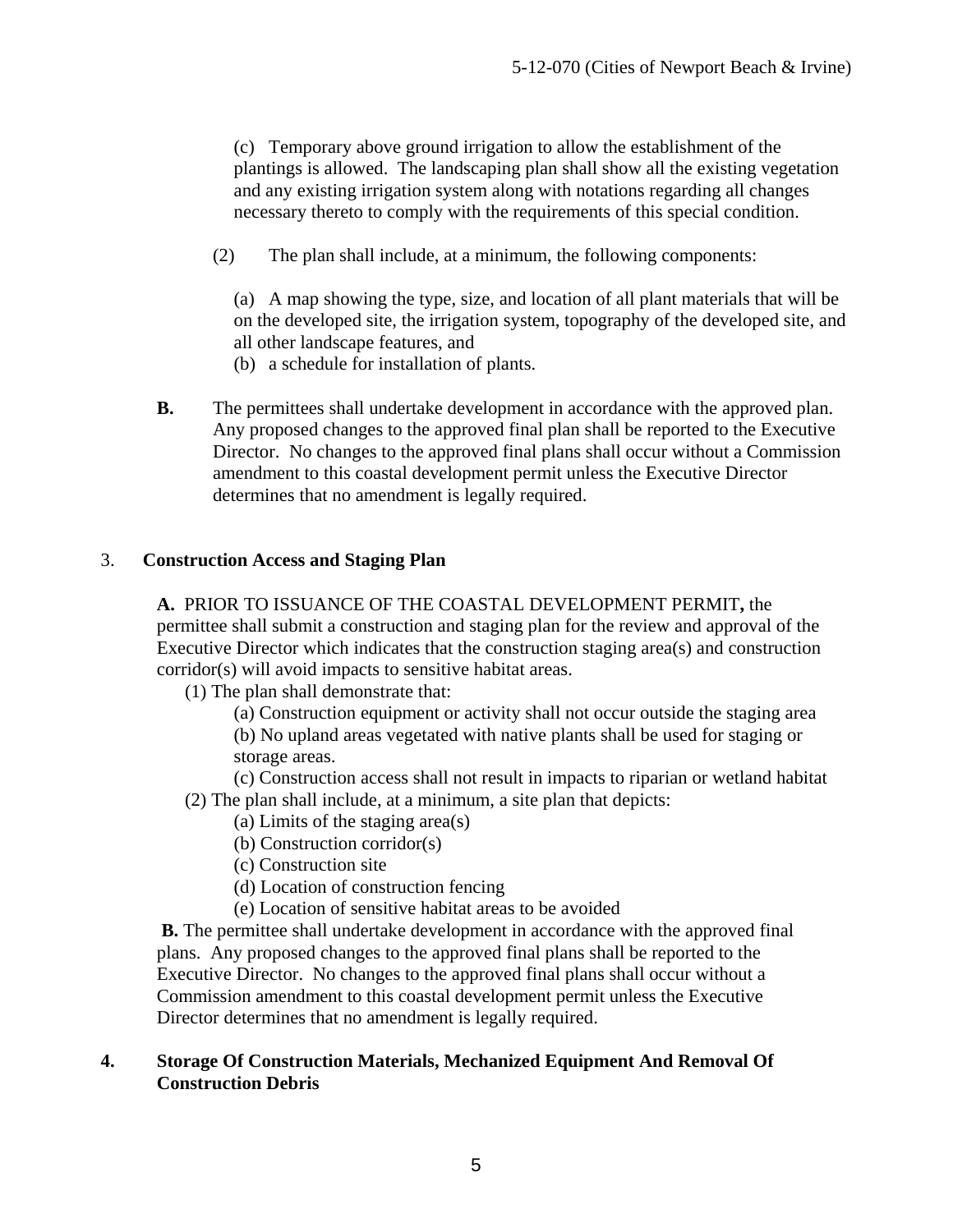(c) Temporary above ground irrigation to allow the establishment of the plantings is allowed. The landscaping plan shall show all the existing vegetation and any existing irrigation system along with notations regarding all changes necessary thereto to comply with the requirements of this special condition.

(2) The plan shall include, at a minimum, the following components:

(a) A map showing the type, size, and location of all plant materials that will be on the developed site, the irrigation system, topography of the developed site, and all other landscape features, and

- (b) a schedule for installation of plants.
- **B.** The permittees shall undertake development in accordance with the approved plan. Any proposed changes to the approved final plan shall be reported to the Executive Director. No changes to the approved final plans shall occur without a Commission amendment to this coastal development permit unless the Executive Director determines that no amendment is legally required.

#### 3. **Construction Access and Staging Plan**

**A.** PRIOR TO ISSUANCE OF THE COASTAL DEVELOPMENT PERMIT**,** the permittee shall submit a construction and staging plan for the review and approval of the Executive Director which indicates that the construction staging area(s) and construction corridor(s) will avoid impacts to sensitive habitat areas.

(1) The plan shall demonstrate that:

(a) Construction equipment or activity shall not occur outside the staging area

(b) No upland areas vegetated with native plants shall be used for staging or storage areas.

(c) Construction access shall not result in impacts to riparian or wetland habitat (2) The plan shall include, at a minimum, a site plan that depicts:

- (a) Limits of the staging area(s)
- (b) Construction corridor(s)
- (c) Construction site
- (d) Location of construction fencing
- (e) Location of sensitive habitat areas to be avoided

 **B.** The permittee shall undertake development in accordance with the approved final plans. Any proposed changes to the approved final plans shall be reported to the Executive Director. No changes to the approved final plans shall occur without a Commission amendment to this coastal development permit unless the Executive Director determines that no amendment is legally required.

#### **4. Storage Of Construction Materials, Mechanized Equipment And Removal Of Construction Debris**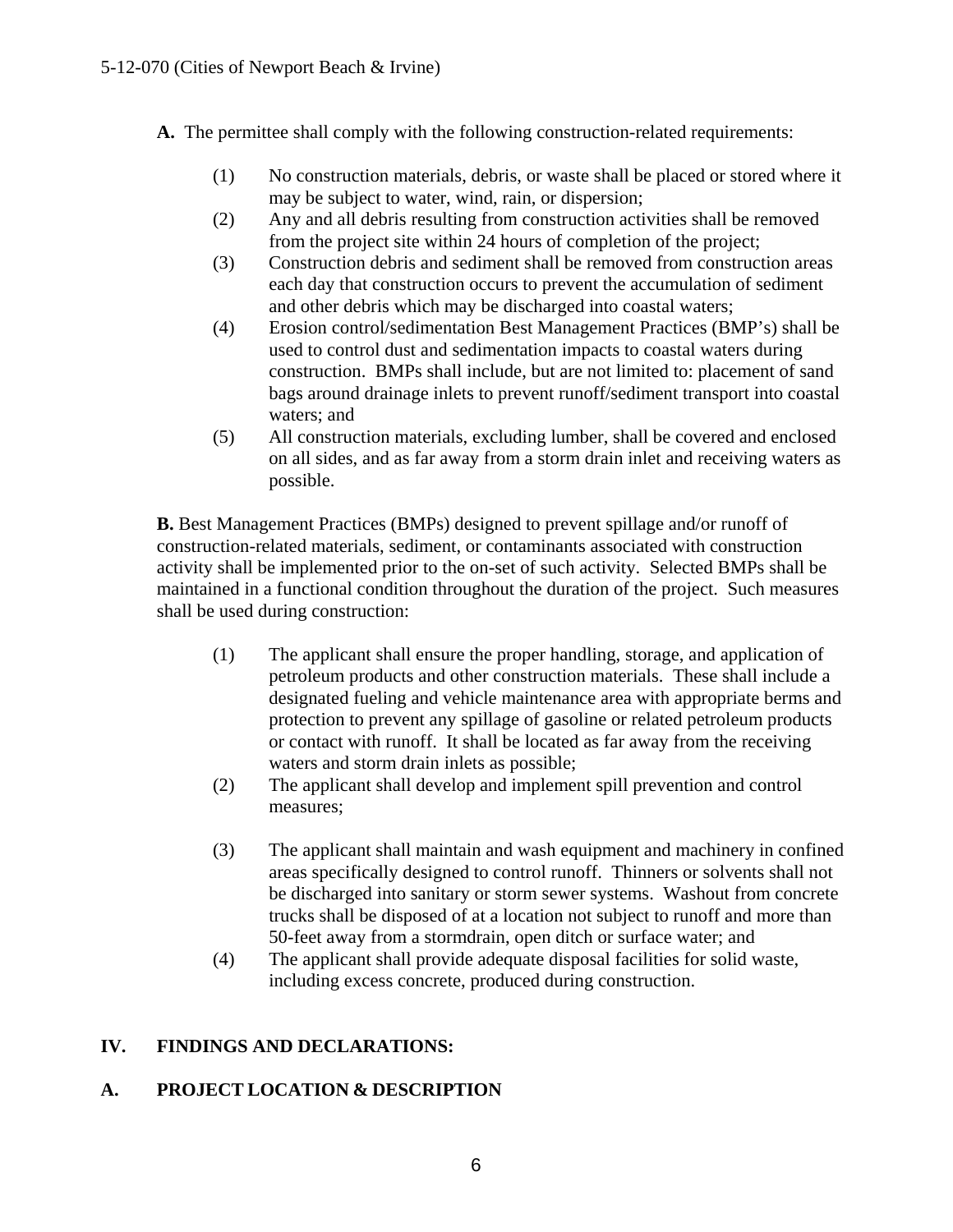- **A.** The permittee shall comply with the following construction-related requirements:
	- (1) No construction materials, debris, or waste shall be placed or stored where it may be subject to water, wind, rain, or dispersion;
	- (2) Any and all debris resulting from construction activities shall be removed from the project site within 24 hours of completion of the project;
	- (3) Construction debris and sediment shall be removed from construction areas each day that construction occurs to prevent the accumulation of sediment and other debris which may be discharged into coastal waters;
	- (4) Erosion control/sedimentation Best Management Practices (BMP's) shall be used to control dust and sedimentation impacts to coastal waters during construction. BMPs shall include, but are not limited to: placement of sand bags around drainage inlets to prevent runoff/sediment transport into coastal waters; and
	- (5) All construction materials, excluding lumber, shall be covered and enclosed on all sides, and as far away from a storm drain inlet and receiving waters as possible.

**B.** Best Management Practices (BMPs) designed to prevent spillage and/or runoff of construction-related materials, sediment, or contaminants associated with construction activity shall be implemented prior to the on-set of such activity. Selected BMPs shall be maintained in a functional condition throughout the duration of the project. Such measures shall be used during construction:

- (1) The applicant shall ensure the proper handling, storage, and application of petroleum products and other construction materials. These shall include a designated fueling and vehicle maintenance area with appropriate berms and protection to prevent any spillage of gasoline or related petroleum products or contact with runoff. It shall be located as far away from the receiving waters and storm drain inlets as possible;
- (2) The applicant shall develop and implement spill prevention and control measures;
- (3) The applicant shall maintain and wash equipment and machinery in confined areas specifically designed to control runoff. Thinners or solvents shall not be discharged into sanitary or storm sewer systems. Washout from concrete trucks shall be disposed of at a location not subject to runoff and more than 50-feet away from a stormdrain, open ditch or surface water; and
- (4) The applicant shall provide adequate disposal facilities for solid waste, including excess concrete, produced during construction.

#### <span id="page-5-0"></span>**IV. FINDINGS AND DECLARATIONS:**

#### <span id="page-5-1"></span>**A. PROJECT LOCATION & DESCRIPTION**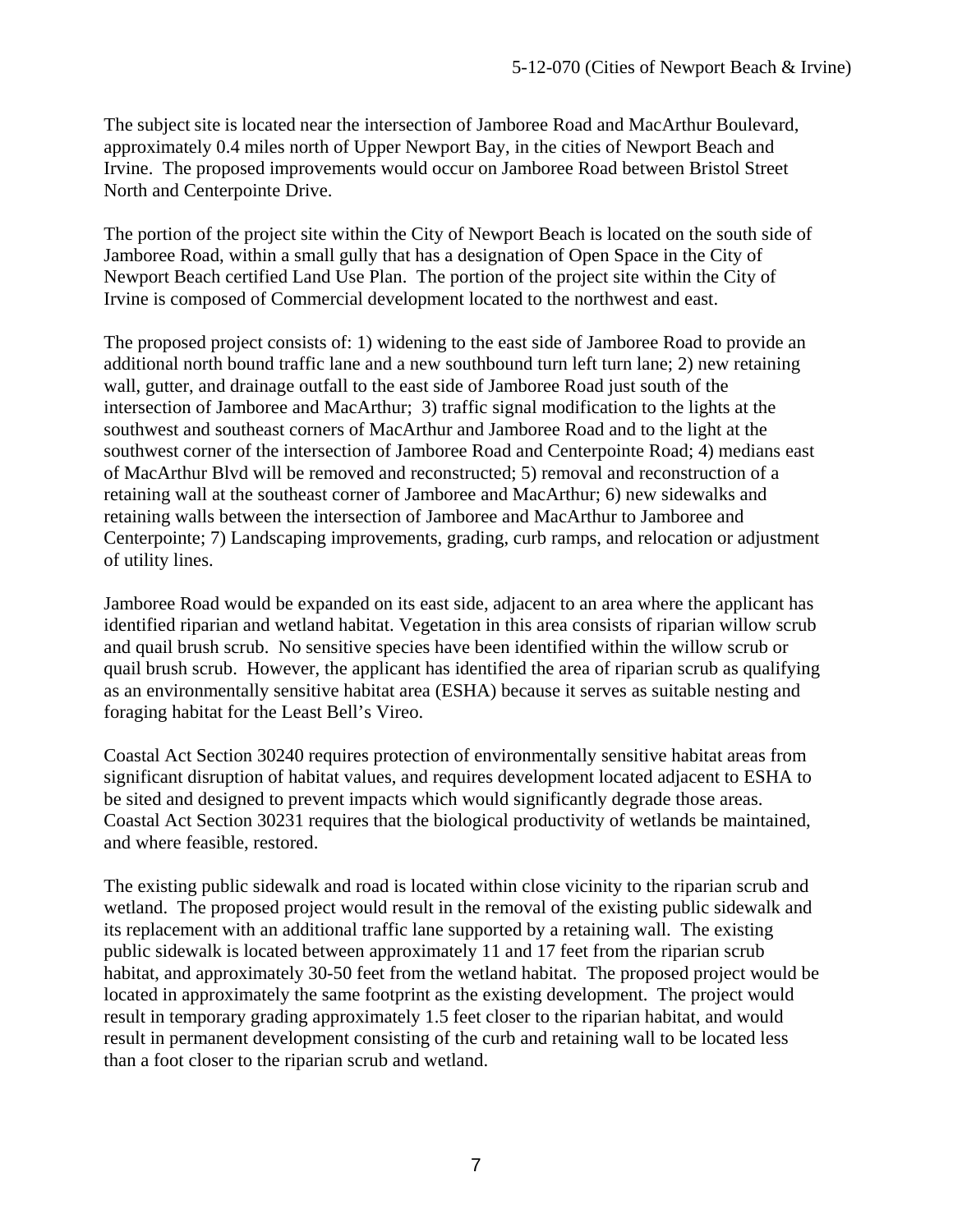The subject site is located near the intersection of Jamboree Road and MacArthur Boulevard, approximately 0.4 miles north of Upper Newport Bay, in the cities of Newport Beach and Irvine. The proposed improvements would occur on Jamboree Road between Bristol Street North and Centerpointe Drive.

The portion of the project site within the City of Newport Beach is located on the south side of Jamboree Road, within a small gully that has a designation of Open Space in the City of Newport Beach certified Land Use Plan. The portion of the project site within the City of Irvine is composed of Commercial development located to the northwest and east.

The proposed project consists of: 1) widening to the east side of Jamboree Road to provide an additional north bound traffic lane and a new southbound turn left turn lane; 2) new retaining wall, gutter, and drainage outfall to the east side of Jamboree Road just south of the intersection of Jamboree and MacArthur; 3) traffic signal modification to the lights at the southwest and southeast corners of MacArthur and Jamboree Road and to the light at the southwest corner of the intersection of Jamboree Road and Centerpointe Road; 4) medians east of MacArthur Blvd will be removed and reconstructed; 5) removal and reconstruction of a retaining wall at the southeast corner of Jamboree and MacArthur; 6) new sidewalks and retaining walls between the intersection of Jamboree and MacArthur to Jamboree and Centerpointe; 7) Landscaping improvements, grading, curb ramps, and relocation or adjustment of utility lines.

Jamboree Road would be expanded on its east side, adjacent to an area where the applicant has identified riparian and wetland habitat. Vegetation in this area consists of riparian willow scrub and quail brush scrub. No sensitive species have been identified within the willow scrub or quail brush scrub. However, the applicant has identified the area of riparian scrub as qualifying as an environmentally sensitive habitat area (ESHA) because it serves as suitable nesting and foraging habitat for the Least Bell's Vireo.

Coastal Act Section 30240 requires protection of environmentally sensitive habitat areas from significant disruption of habitat values, and requires development located adjacent to ESHA to be sited and designed to prevent impacts which would significantly degrade those areas. Coastal Act Section 30231 requires that the biological productivity of wetlands be maintained, and where feasible, restored.

The existing public sidewalk and road is located within close vicinity to the riparian scrub and wetland. The proposed project would result in the removal of the existing public sidewalk and its replacement with an additional traffic lane supported by a retaining wall. The existing public sidewalk is located between approximately 11 and 17 feet from the riparian scrub habitat, and approximately 30-50 feet from the wetland habitat. The proposed project would be located in approximately the same footprint as the existing development. The project would result in temporary grading approximately 1.5 feet closer to the riparian habitat, and would result in permanent development consisting of the curb and retaining wall to be located less than a foot closer to the riparian scrub and wetland.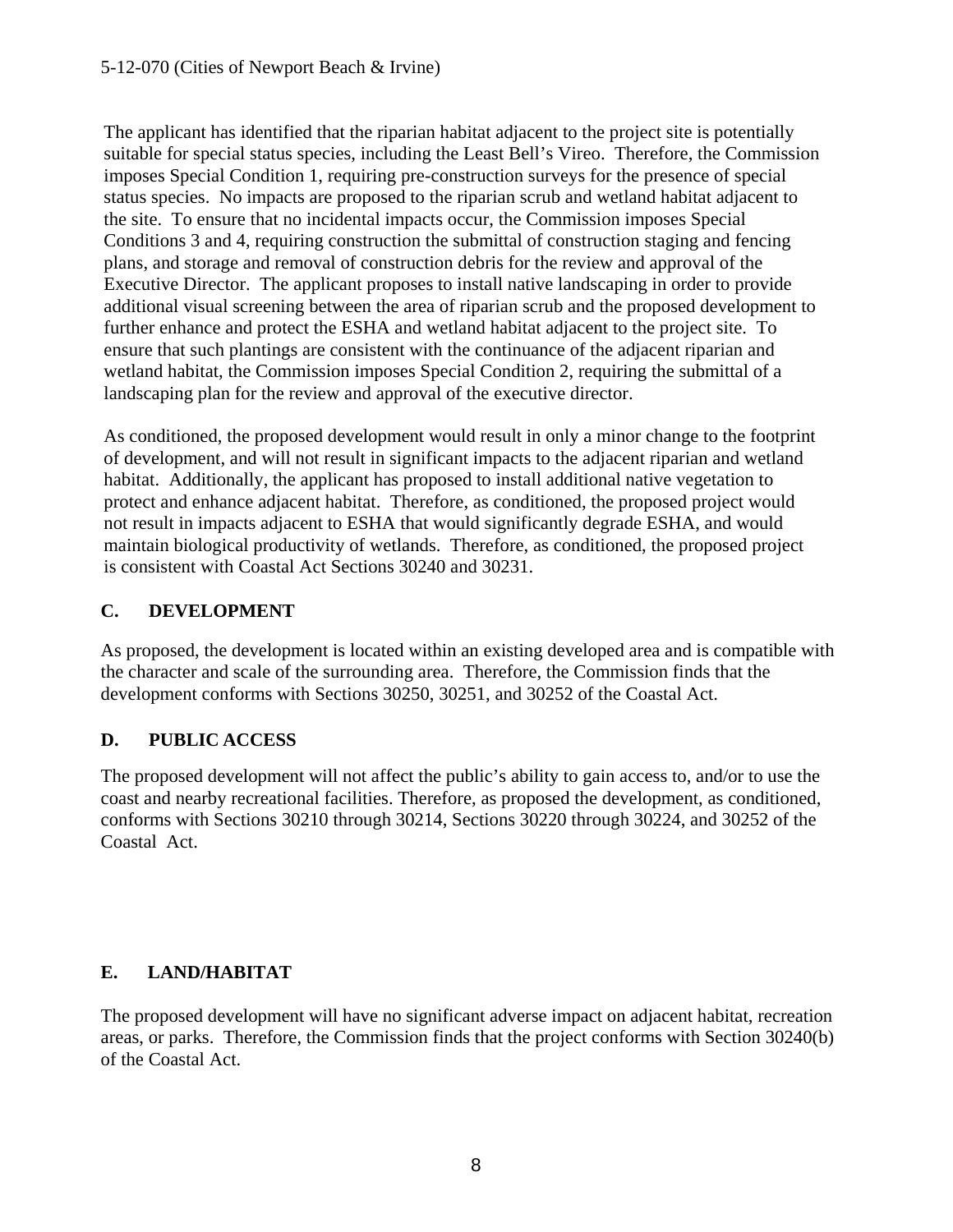The applicant has identified that the riparian habitat adjacent to the project site is potentially suitable for special status species, including the Least Bell's Vireo. Therefore, the Commission imposes Special Condition 1, requiring pre-construction surveys for the presence of special status species. No impacts are proposed to the riparian scrub and wetland habitat adjacent to the site. To ensure that no incidental impacts occur, the Commission imposes Special Conditions 3 and 4, requiring construction the submittal of construction staging and fencing plans, and storage and removal of construction debris for the review and approval of the Executive Director. The applicant proposes to install native landscaping in order to provide additional visual screening between the area of riparian scrub and the proposed development to further enhance and protect the ESHA and wetland habitat adjacent to the project site. To ensure that such plantings are consistent with the continuance of the adjacent riparian and wetland habitat, the Commission imposes Special Condition 2, requiring the submittal of a landscaping plan for the review and approval of the executive director.

As conditioned, the proposed development would result in only a minor change to the footprint of development, and will not result in significant impacts to the adjacent riparian and wetland habitat. Additionally, the applicant has proposed to install additional native vegetation to protect and enhance adjacent habitat. Therefore, as conditioned, the proposed project would not result in impacts adjacent to ESHA that would significantly degrade ESHA, and would maintain biological productivity of wetlands. Therefore, as conditioned, the proposed project is consistent with Coastal Act Sections 30240 and 30231.

## <span id="page-7-0"></span>**C. DEVELOPMENT**

As proposed, the development is located within an existing developed area and is compatible with the character and scale of the surrounding area. Therefore, the Commission finds that the development conforms with Sections 30250, 30251, and 30252 of the Coastal Act.

#### <span id="page-7-1"></span>**D. PUBLIC ACCESS**

The proposed development will not affect the public's ability to gain access to, and/or to use the coast and nearby recreational facilities. Therefore, as proposed the development, as conditioned, conforms with Sections 30210 through 30214, Sections 30220 through 30224, and 30252 of the Coastal Act.

## <span id="page-7-2"></span>**E. LAND/HABITAT**

The proposed development will have no significant adverse impact on adjacent habitat, recreation areas, or parks. Therefore, the Commission finds that the project conforms with Section 30240(b) of the Coastal Act.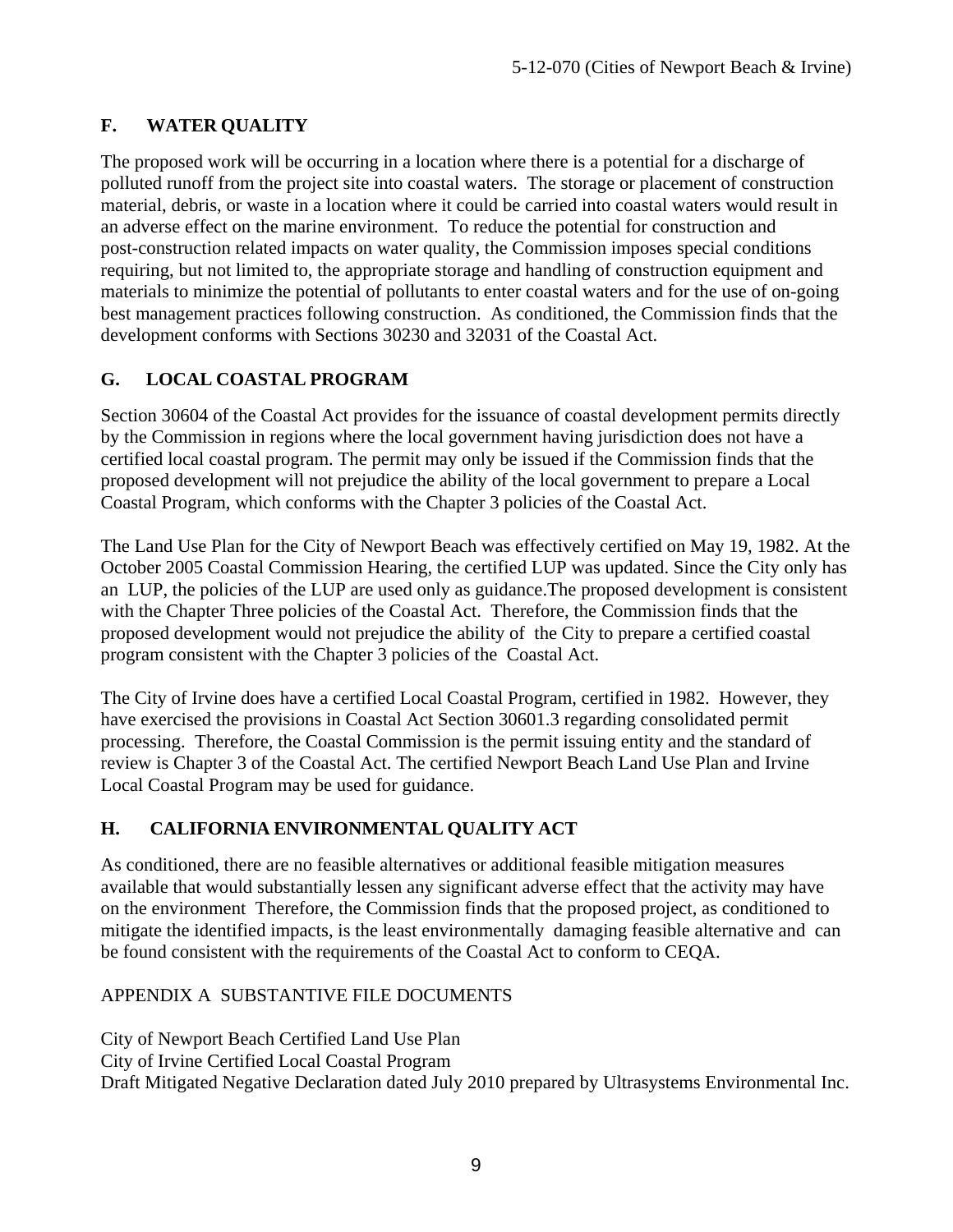## <span id="page-8-0"></span>**F. WATER QUALITY**

The proposed work will be occurring in a location where there is a potential for a discharge of polluted runoff from the project site into coastal waters. The storage or placement of construction material, debris, or waste in a location where it could be carried into coastal waters would result in an adverse effect on the marine environment. To reduce the potential for construction and post-construction related impacts on water quality, the Commission imposes special conditions requiring, but not limited to, the appropriate storage and handling of construction equipment and materials to minimize the potential of pollutants to enter coastal waters and for the use of on-going best management practices following construction. As conditioned, the Commission finds that the development conforms with Sections 30230 and 32031 of the Coastal Act.

## <span id="page-8-1"></span>**G. LOCAL COASTAL PROGRAM**

Section 30604 of the Coastal Act provides for the issuance of coastal development permits directly by the Commission in regions where the local government having jurisdiction does not have a certified local coastal program. The permit may only be issued if the Commission finds that the proposed development will not prejudice the ability of the local government to prepare a Local Coastal Program, which conforms with the Chapter 3 policies of the Coastal Act.

The Land Use Plan for the City of Newport Beach was effectively certified on May 19, 1982. At the October 2005 Coastal Commission Hearing, the certified LUP was updated. Since the City only has an LUP, the policies of the LUP are used only as guidance.The proposed development is consistent with the Chapter Three policies of the Coastal Act. Therefore, the Commission finds that the proposed development would not prejudice the ability of the City to prepare a certified coastal program consistent with the Chapter 3 policies of the Coastal Act.

The City of Irvine does have a certified Local Coastal Program, certified in 1982. However, they have exercised the provisions in Coastal Act Section 30601.3 regarding consolidated permit processing. Therefore, the Coastal Commission is the permit issuing entity and the standard of review is Chapter 3 of the Coastal Act. The certified Newport Beach Land Use Plan and Irvine Local Coastal Program may be used for guidance.

#### <span id="page-8-2"></span>**H. CALIFORNIA ENVIRONMENTAL QUALITY ACT**

As conditioned, there are no feasible alternatives or additional feasible mitigation measures available that would substantially lessen any significant adverse effect that the activity may have on the environment Therefore, the Commission finds that the proposed project, as conditioned to mitigate the identified impacts, is the least environmentally damaging feasible alternative and can be found consistent with the requirements of the Coastal Act to conform to CEQA.

#### APPENDIX A SUBSTANTIVE FILE DOCUMENTS

City of Newport Beach Certified Land Use Plan City of Irvine Certified Local Coastal Program Draft Mitigated Negative Declaration dated July 2010 prepared by Ultrasystems Environmental Inc.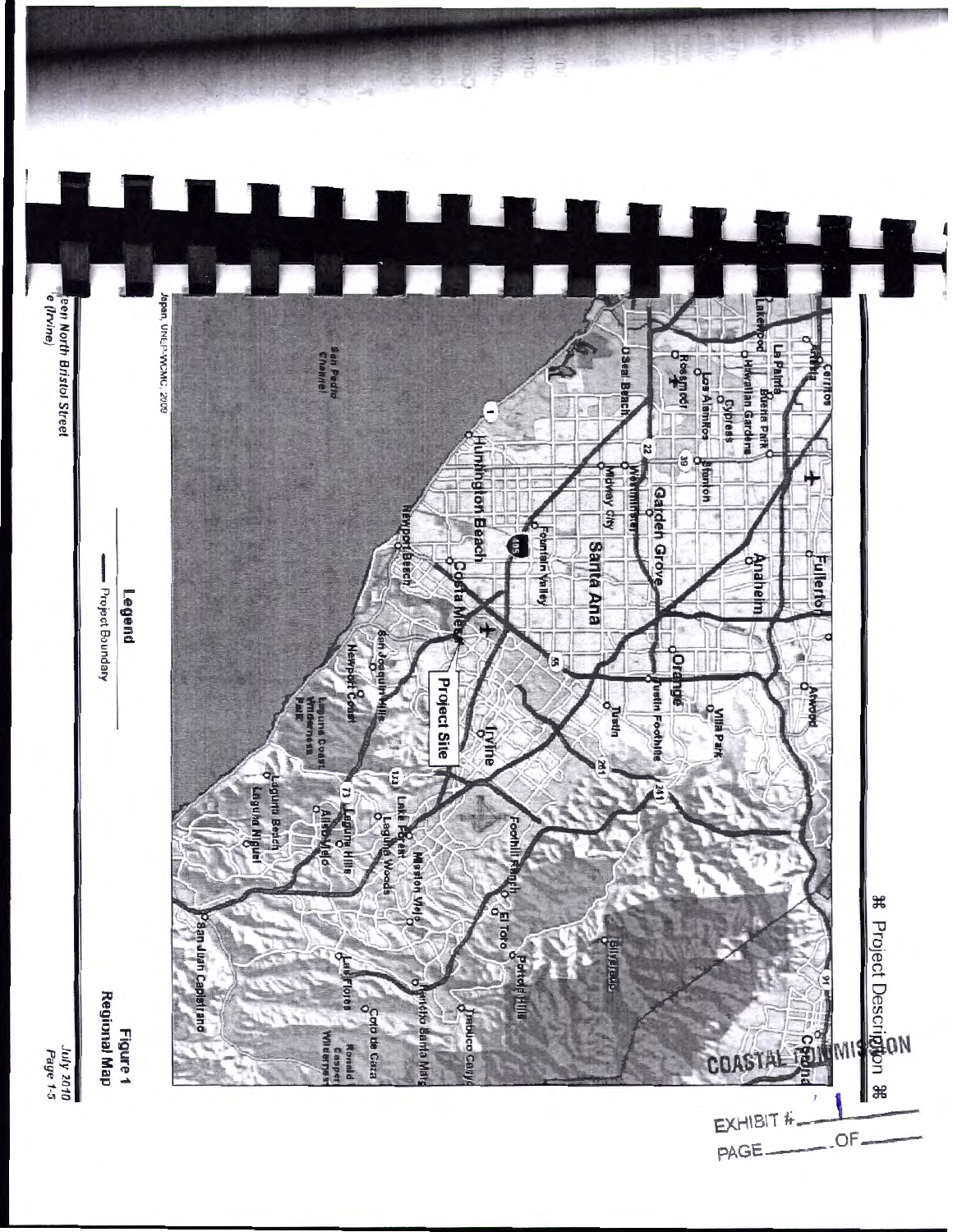